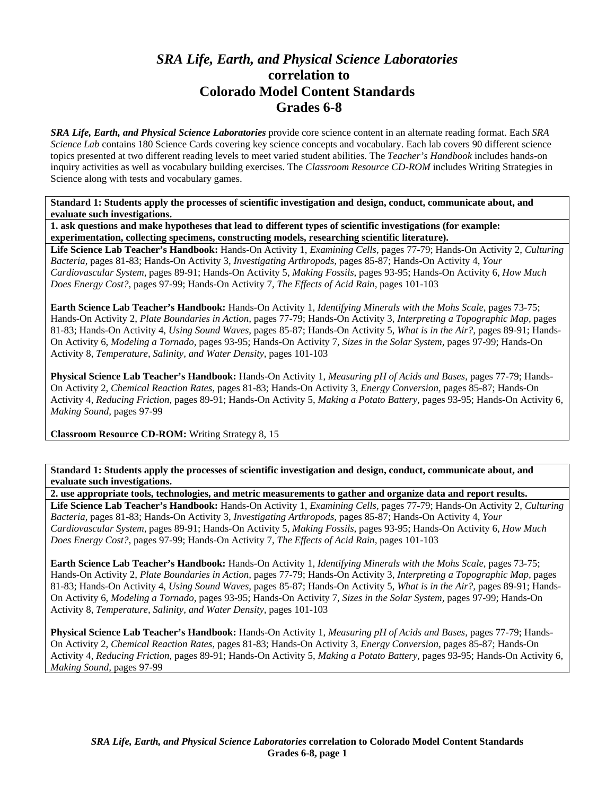## *SRA Life, Earth, and Physical Science Laboratories*  **correlation to Colorado Model Content Standards Grades 6-8**

*SRA Life, Earth, and Physical Science Laboratories* provide core science content in an alternate reading format. Each *SRA Science Lab* contains 180 Science Cards covering key science concepts and vocabulary. Each lab covers 90 different science topics presented at two different reading levels to meet varied student abilities. The *Teacher's Handbook* includes hands-on inquiry activities as well as vocabulary building exercises. The *Classroom Resource CD-ROM* includes Writing Strategies in Science along with tests and vocabulary games.

**Standard 1: Students apply the processes of scientific investigation and design, conduct, communicate about, and evaluate such investigations.** 

**1. ask questions and make hypotheses that lead to different types of scientific investigations (for example: experimentation, collecting specimens, constructing models, researching scientific literature).** 

**Life Science Lab Teacher's Handbook:** Hands-On Activity 1, *Examining Cells,* pages 77-79; Hands-On Activity 2, *Culturing Bacteria,* pages 81-83; Hands-On Activity 3, *Investigating Arthropods,* pages 85-87; Hands-On Activity 4, *Your Cardiovascular System,* pages 89-91; Hands-On Activity 5, *Making Fossils,* pages 93-95; Hands-On Activity 6, *How Much Does Energy Cost?,* pages 97-99; Hands-On Activity 7, *The Effects of Acid Rain,* pages 101-103

**Earth Science Lab Teacher's Handbook:** Hands-On Activity 1, *Identifying Minerals with the Mohs Scale,* pages 73-75; Hands-On Activity 2, *Plate Boundaries in Action,* pages 77-79; Hands-On Activity 3, *Interpreting a Topographic Map,* pages 81-83; Hands-On Activity 4, *Using Sound Waves,* pages 85-87; Hands-On Activity 5, *What is in the Air?,* pages 89-91; Hands-On Activity 6, *Modeling a Tornado,* pages 93-95; Hands-On Activity 7, *Sizes in the Solar System,* pages 97-99; Hands-On Activity 8, *Temperature, Salinity, and Water Density,* pages 101-103

**Physical Science Lab Teacher's Handbook:** Hands-On Activity 1, *Measuring pH of Acids and Bases,* pages 77-79; Hands-On Activity 2, *Chemical Reaction Rates,* pages 81-83; Hands-On Activity 3, *Energy Conversion,* pages 85-87; Hands-On Activity 4, *Reducing Friction,* pages 89-91; Hands-On Activity 5, *Making a Potato Battery,* pages 93-95; Hands-On Activity 6, *Making Sound,* pages 97-99

**Classroom Resource CD-ROM:** Writing Strategy 8, 15

**Standard 1: Students apply the processes of scientific investigation and design, conduct, communicate about, and evaluate such investigations.** 

**2. use appropriate tools, technologies, and metric measurements to gather and organize data and report results.** 

**Life Science Lab Teacher's Handbook:** Hands-On Activity 1, *Examining Cells,* pages 77-79; Hands-On Activity 2, *Culturing Bacteria,* pages 81-83; Hands-On Activity 3, *Investigating Arthropods,* pages 85-87; Hands-On Activity 4, *Your Cardiovascular System,* pages 89-91; Hands-On Activity 5, *Making Fossils,* pages 93-95; Hands-On Activity 6, *How Much Does Energy Cost?,* pages 97-99; Hands-On Activity 7, *The Effects of Acid Rain,* pages 101-103

**Earth Science Lab Teacher's Handbook:** Hands-On Activity 1, *Identifying Minerals with the Mohs Scale,* pages 73-75; Hands-On Activity 2, *Plate Boundaries in Action,* pages 77-79; Hands-On Activity 3, *Interpreting a Topographic Map,* pages 81-83; Hands-On Activity 4, *Using Sound Waves,* pages 85-87; Hands-On Activity 5, *What is in the Air?,* pages 89-91; Hands-On Activity 6, *Modeling a Tornado,* pages 93-95; Hands-On Activity 7, *Sizes in the Solar System,* pages 97-99; Hands-On Activity 8, *Temperature, Salinity, and Water Density,* pages 101-103

**Physical Science Lab Teacher's Handbook:** Hands-On Activity 1, *Measuring pH of Acids and Bases,* pages 77-79; Hands-On Activity 2, *Chemical Reaction Rates,* pages 81-83; Hands-On Activity 3, *Energy Conversion,* pages 85-87; Hands-On Activity 4, *Reducing Friction,* pages 89-91; Hands-On Activity 5, *Making a Potato Battery,* pages 93-95; Hands-On Activity 6, *Making Sound,* pages 97-99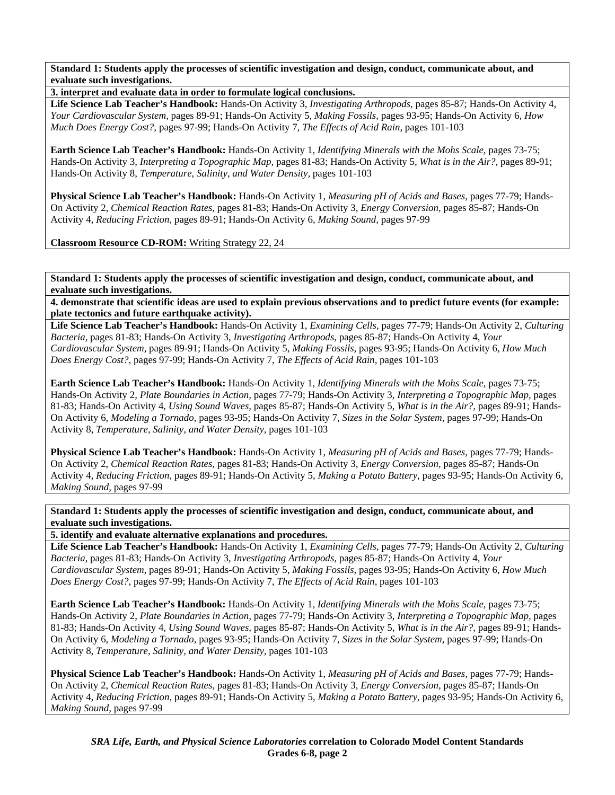**Standard 1: Students apply the processes of scientific investigation and design, conduct, communicate about, and evaluate such investigations.** 

**3. interpret and evaluate data in order to formulate logical conclusions.** 

**Life Science Lab Teacher's Handbook:** Hands-On Activity 3, *Investigating Arthropods,* pages 85-87; Hands-On Activity 4, *Your Cardiovascular System,* pages 89-91; Hands-On Activity 5, *Making Fossils,* pages 93-95; Hands-On Activity 6, *How Much Does Energy Cost?,* pages 97-99; Hands-On Activity 7, *The Effects of Acid Rain,* pages 101-103

**Earth Science Lab Teacher's Handbook:** Hands-On Activity 1, *Identifying Minerals with the Mohs Scale,* pages 73-75; Hands-On Activity 3, *Interpreting a Topographic Map,* pages 81-83; Hands-On Activity 5, *What is in the Air?,* pages 89-91; Hands-On Activity 8, *Temperature, Salinity, and Water Density,* pages 101-103

**Physical Science Lab Teacher's Handbook:** Hands-On Activity 1, *Measuring pH of Acids and Bases,* pages 77-79; Hands-On Activity 2, *Chemical Reaction Rates,* pages 81-83; Hands-On Activity 3, *Energy Conversion,* pages 85-87; Hands-On Activity 4, *Reducing Friction,* pages 89-91; Hands-On Activity 6, *Making Sound,* pages 97-99

**Classroom Resource CD-ROM:** Writing Strategy 22, 24

**Standard 1: Students apply the processes of scientific investigation and design, conduct, communicate about, and evaluate such investigations.** 

**4. demonstrate that scientific ideas are used to explain previous observations and to predict future events (for example: plate tectonics and future earthquake activity).** 

**Life Science Lab Teacher's Handbook:** Hands-On Activity 1, *Examining Cells,* pages 77-79; Hands-On Activity 2, *Culturing Bacteria,* pages 81-83; Hands-On Activity 3, *Investigating Arthropods,* pages 85-87; Hands-On Activity 4, *Your Cardiovascular System,* pages 89-91; Hands-On Activity 5, *Making Fossils,* pages 93-95; Hands-On Activity 6, *How Much Does Energy Cost?,* pages 97-99; Hands-On Activity 7, *The Effects of Acid Rain,* pages 101-103

**Earth Science Lab Teacher's Handbook:** Hands-On Activity 1, *Identifying Minerals with the Mohs Scale,* pages 73-75; Hands-On Activity 2, *Plate Boundaries in Action,* pages 77-79; Hands-On Activity 3, *Interpreting a Topographic Map,* pages 81-83; Hands-On Activity 4, *Using Sound Waves,* pages 85-87; Hands-On Activity 5, *What is in the Air?,* pages 89-91; Hands-On Activity 6, *Modeling a Tornado,* pages 93-95; Hands-On Activity 7, *Sizes in the Solar System,* pages 97-99; Hands-On Activity 8, *Temperature, Salinity, and Water Density,* pages 101-103

**Physical Science Lab Teacher's Handbook:** Hands-On Activity 1, *Measuring pH of Acids and Bases,* pages 77-79; Hands-On Activity 2, *Chemical Reaction Rates,* pages 81-83; Hands-On Activity 3, *Energy Conversion,* pages 85-87; Hands-On Activity 4, *Reducing Friction,* pages 89-91; Hands-On Activity 5, *Making a Potato Battery,* pages 93-95; Hands-On Activity 6, *Making Sound,* pages 97-99

**Standard 1: Students apply the processes of scientific investigation and design, conduct, communicate about, and evaluate such investigations.** 

**5. identify and evaluate alternative explanations and procedures.** 

**Life Science Lab Teacher's Handbook:** Hands-On Activity 1, *Examining Cells,* pages 77-79; Hands-On Activity 2, *Culturing Bacteria,* pages 81-83; Hands-On Activity 3, *Investigating Arthropods,* pages 85-87; Hands-On Activity 4, *Your Cardiovascular System,* pages 89-91; Hands-On Activity 5, *Making Fossils,* pages 93-95; Hands-On Activity 6, *How Much Does Energy Cost?,* pages 97-99; Hands-On Activity 7, *The Effects of Acid Rain,* pages 101-103

**Earth Science Lab Teacher's Handbook:** Hands-On Activity 1, *Identifying Minerals with the Mohs Scale,* pages 73-75; Hands-On Activity 2, *Plate Boundaries in Action,* pages 77-79; Hands-On Activity 3, *Interpreting a Topographic Map,* pages 81-83; Hands-On Activity 4, *Using Sound Waves,* pages 85-87; Hands-On Activity 5, *What is in the Air?,* pages 89-91; Hands-On Activity 6, *Modeling a Tornado,* pages 93-95; Hands-On Activity 7, *Sizes in the Solar System,* pages 97-99; Hands-On Activity 8, *Temperature, Salinity, and Water Density,* pages 101-103

**Physical Science Lab Teacher's Handbook:** Hands-On Activity 1, *Measuring pH of Acids and Bases,* pages 77-79; Hands-On Activity 2, *Chemical Reaction Rates,* pages 81-83; Hands-On Activity 3, *Energy Conversion,* pages 85-87; Hands-On Activity 4, *Reducing Friction,* pages 89-91; Hands-On Activity 5, *Making a Potato Battery,* pages 93-95; Hands-On Activity 6, *Making Sound,* pages 97-99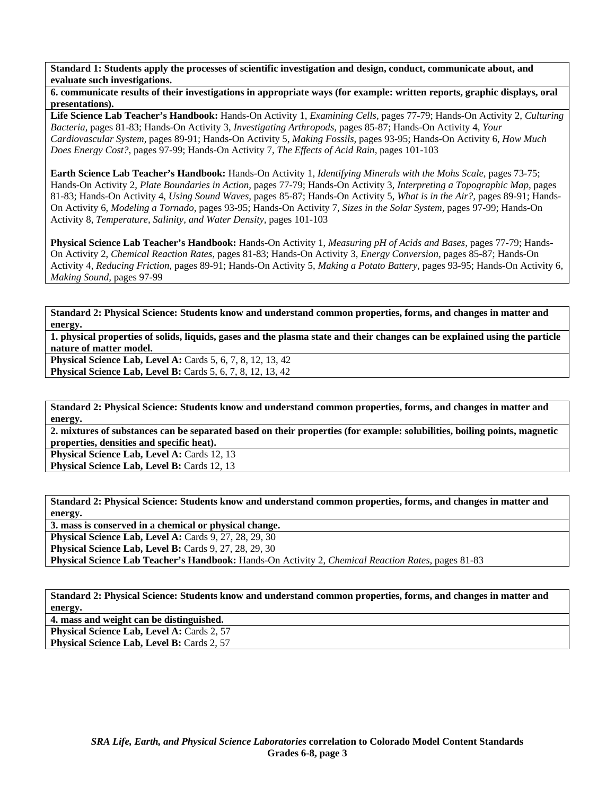**Standard 1: Students apply the processes of scientific investigation and design, conduct, communicate about, and evaluate such investigations.** 

**6. communicate results of their investigations in appropriate ways (for example: written reports, graphic displays, oral presentations).** 

**Life Science Lab Teacher's Handbook:** Hands-On Activity 1, *Examining Cells,* pages 77-79; Hands-On Activity 2, *Culturing Bacteria,* pages 81-83; Hands-On Activity 3, *Investigating Arthropods,* pages 85-87; Hands-On Activity 4, *Your Cardiovascular System,* pages 89-91; Hands-On Activity 5, *Making Fossils,* pages 93-95; Hands-On Activity 6, *How Much Does Energy Cost?,* pages 97-99; Hands-On Activity 7, *The Effects of Acid Rain,* pages 101-103

**Earth Science Lab Teacher's Handbook:** Hands-On Activity 1, *Identifying Minerals with the Mohs Scale,* pages 73-75; Hands-On Activity 2, *Plate Boundaries in Action,* pages 77-79; Hands-On Activity 3, *Interpreting a Topographic Map,* pages 81-83; Hands-On Activity 4, *Using Sound Waves,* pages 85-87; Hands-On Activity 5, *What is in the Air?,* pages 89-91; Hands-On Activity 6, *Modeling a Tornado,* pages 93-95; Hands-On Activity 7, *Sizes in the Solar System,* pages 97-99; Hands-On Activity 8, *Temperature, Salinity, and Water Density,* pages 101-103

**Physical Science Lab Teacher's Handbook:** Hands-On Activity 1, *Measuring pH of Acids and Bases,* pages 77-79; Hands-On Activity 2, *Chemical Reaction Rates,* pages 81-83; Hands-On Activity 3, *Energy Conversion,* pages 85-87; Hands-On Activity 4, *Reducing Friction,* pages 89-91; Hands-On Activity 5, *Making a Potato Battery,* pages 93-95; Hands-On Activity 6, *Making Sound,* pages 97-99

**Standard 2: Physical Science: Students know and understand common properties, forms, and changes in matter and energy.** 

**1. physical properties of solids, liquids, gases and the plasma state and their changes can be explained using the particle nature of matter model.** 

**Physical Science Lab, Level A: Cards 5, 6, 7, 8, 12, 13, 42 Physical Science Lab, Level B:** Cards 5, 6, 7, 8, 12, 13, 42

**Standard 2: Physical Science: Students know and understand common properties, forms, and changes in matter and energy.** 

**2. mixtures of substances can be separated based on their properties (for example: solubilities, boiling points, magnetic properties, densities and specific heat).** 

**Physical Science Lab, Level A: Cards 12, 13 Physical Science Lab, Level B: Cards 12, 13** 

**Standard 2: Physical Science: Students know and understand common properties, forms, and changes in matter and energy.** 

**3. mass is conserved in a chemical or physical change.** 

**Physical Science Lab, Level A: Cards 9, 27, 28, 29, 30** 

**Physical Science Lab, Level B: Cards 9, 27, 28, 29, 30** 

**Physical Science Lab Teacher's Handbook:** Hands-On Activity 2, *Chemical Reaction Rates,* pages 81-83

**Standard 2: Physical Science: Students know and understand common properties, forms, and changes in matter and energy.** 

**4. mass and weight can be distinguished.**  Physical Science Lab, Level A: Cards 2, 57 Physical Science Lab, Level B: Cards 2, 57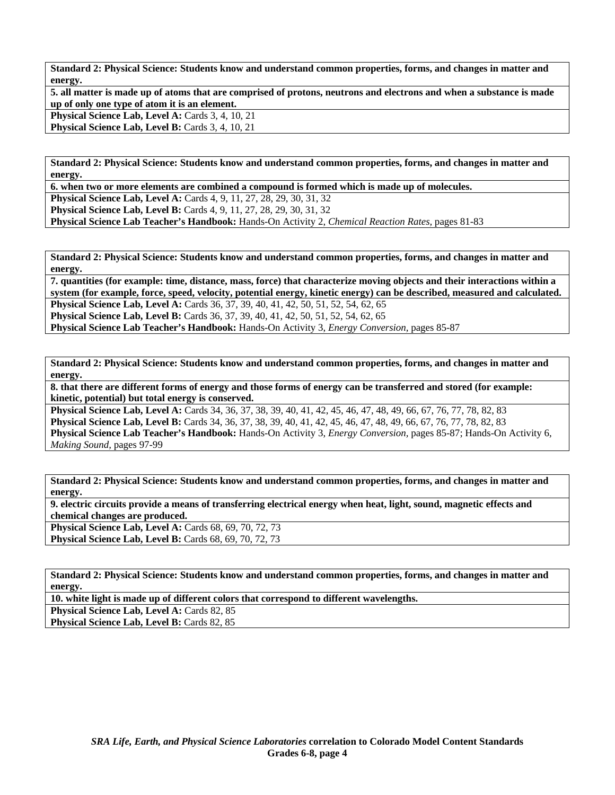**Standard 2: Physical Science: Students know and understand common properties, forms, and changes in matter and energy.** 

| 5. all matter is made up of atoms that are comprised of protons, neutrons and electrons and when a substance is made |
|----------------------------------------------------------------------------------------------------------------------|
| up of only one type of atom it is an element.                                                                        |
| <b>Physical Science Lab, Level A: Cards 3, 4, 10, 21</b>                                                             |

Physical Science Lab, Level B: Cards 3, 4, 10, 21

**Standard 2: Physical Science: Students know and understand common properties, forms, and changes in matter and energy.** 

**6. when two or more elements are combined a compound is formed which is made up of molecules.** 

**Physical Science Lab, Level A:** Cards 4, 9, 11, 27, 28, 29, 30, 31, 32

**Physical Science Lab, Level B:** Cards 4, 9, 11, 27, 28, 29, 30, 31, 32

**Physical Science Lab Teacher's Handbook:** Hands-On Activity 2, *Chemical Reaction Rates,* pages 81-83

**Standard 2: Physical Science: Students know and understand common properties, forms, and changes in matter and energy.** 

**7. quantities (for example: time, distance, mass, force) that characterize moving objects and their interactions within a system (for example, force, speed, velocity, potential energy, kinetic energy) can be described, measured and calculated.** 

**Physical Science Lab, Level A:** Cards 36, 37, 39, 40, 41, 42, 50, 51, 52, 54, 62, 65 **Physical Science Lab, Level B:** Cards 36, 37, 39, 40, 41, 42, 50, 51, 52, 54, 62, 65

**Physical Science Lab Teacher's Handbook:** Hands-On Activity 3, *Energy Conversion,* pages 85-87

**Standard 2: Physical Science: Students know and understand common properties, forms, and changes in matter and energy.** 

**8. that there are different forms of energy and those forms of energy can be transferred and stored (for example: kinetic, potential) but total energy is conserved.** 

**Physical Science Lab, Level A:** Cards 34, 36, 37, 38, 39, 40, 41, 42, 45, 46, 47, 48, 49, 66, 67, 76, 77, 78, 82, 83 **Physical Science Lab, Level B:** Cards 34, 36, 37, 38, 39, 40, 41, 42, 45, 46, 47, 48, 49, 66, 67, 76, 77, 78, 82, 83 **Physical Science Lab Teacher's Handbook:** Hands-On Activity 3, *Energy Conversion,* pages 85-87; Hands-On Activity 6, *Making Sound,* pages 97-99

**Standard 2: Physical Science: Students know and understand common properties, forms, and changes in matter and energy.** 

**9. electric circuits provide a means of transferring electrical energy when heat, light, sound, magnetic effects and chemical changes are produced.** 

**Physical Science Lab, Level A: Cards 68, 69, 70, 72, 73 Physical Science Lab, Level B: Cards 68, 69, 70, 72, 73** 

**Standard 2: Physical Science: Students know and understand common properties, forms, and changes in matter and energy.** 

**10. white light is made up of different colors that correspond to different wavelengths.** 

Physical Science Lab, Level A: Cards 82, 85 Physical Science Lab, Level B: Cards 82, 85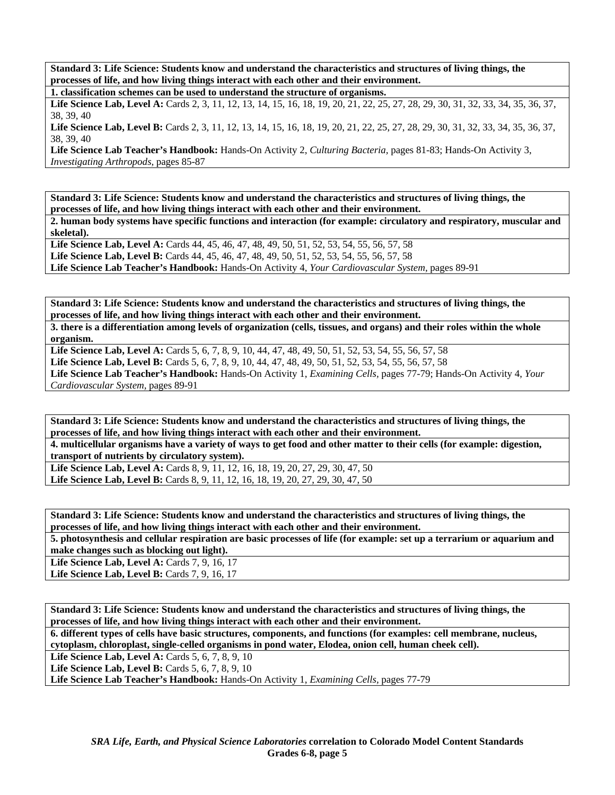**Standard 3: Life Science: Students know and understand the characteristics and structures of living things, the processes of life, and how living things interact with each other and their environment. 1. classification schemes can be used to understand the structure of organisms.** 

Life Science Lab, Level A: Cards 2, 3, 11, 12, 13, 14, 15, 16, 18, 19, 20, 21, 22, 25, 27, 28, 29, 30, 31, 32, 33, 34, 35, 36, 37, 38, 39, 40

Life Science Lab, Level B: Cards 2, 3, 11, 12, 13, 14, 15, 16, 18, 19, 20, 21, 22, 25, 27, 28, 29, 30, 31, 32, 33, 34, 35, 36, 37, 38, 39, 40

**Life Science Lab Teacher's Handbook:** Hands-On Activity 2, *Culturing Bacteria,* pages 81-83; Hands-On Activity 3, *Investigating Arthropods,* pages 85-87

**Standard 3: Life Science: Students know and understand the characteristics and structures of living things, the processes of life, and how living things interact with each other and their environment. 2. human body systems have specific functions and interaction (for example: circulatory and respiratory, muscular and skeletal).** 

**Life Science Lab, Level A:** Cards 44, 45, 46, 47, 48, 49, 50, 51, 52, 53, 54, 55, 56, 57, 58 **Life Science Lab, Level B:** Cards 44, 45, 46, 47, 48, 49, 50, 51, 52, 53, 54, 55, 56, 57, 58 **Life Science Lab Teacher's Handbook:** Hands-On Activity 4, *Your Cardiovascular System,* pages 89-91

**Standard 3: Life Science: Students know and understand the characteristics and structures of living things, the processes of life, and how living things interact with each other and their environment.** 

**3. there is a differentiation among levels of organization (cells, tissues, and organs) and their roles within the whole organism.** 

Life Science Lab, Level A: Cards 5, 6, 7, 8, 9, 10, 44, 47, 48, 49, 50, 51, 52, 53, 54, 55, 56, 57, 58

Life Science Lab, Level B: Cards 5, 6, 7, 8, 9, 10, 44, 47, 48, 49, 50, 51, 52, 53, 54, 55, 56, 57, 58

**Life Science Lab Teacher's Handbook:** Hands-On Activity 1, *Examining Cells,* pages 77-79; Hands-On Activity 4, *Your Cardiovascular System,* pages 89-91

**Standard 3: Life Science: Students know and understand the characteristics and structures of living things, the processes of life, and how living things interact with each other and their environment.** 

**4. multicellular organisms have a variety of ways to get food and other matter to their cells (for example: digestion, transport of nutrients by circulatory system).** 

Life Science Lab, Level A: Cards 8, 9, 11, 12, 16, 18, 19, 20, 27, 29, 30, 47, 50 **Life Science Lab, Level B:** Cards 8, 9, 11, 12, 16, 18, 19, 20, 27, 29, 30, 47, 50

**Standard 3: Life Science: Students know and understand the characteristics and structures of living things, the processes of life, and how living things interact with each other and their environment.** 

**5. photosynthesis and cellular respiration are basic processes of life (for example: set up a terrarium or aquarium and make changes such as blocking out light).** 

**Life Science Lab, Level A: Cards 7, 9, 16, 17** Life Science Lab, Level B: Cards 7, 9, 16, 17

**Standard 3: Life Science: Students know and understand the characteristics and structures of living things, the processes of life, and how living things interact with each other and their environment.** 

**6. different types of cells have basic structures, components, and functions (for examples: cell membrane, nucleus, cytoplasm, chloroplast, single-celled organisms in pond water, Elodea, onion cell, human cheek cell).** 

**Life Science Lab, Level A: Cards 5, 6, 7, 8, 9, 10** 

**Life Science Lab, Level B:** Cards 5, 6, 7, 8, 9, 10

**Life Science Lab Teacher's Handbook:** Hands-On Activity 1, *Examining Cells,* pages 77-79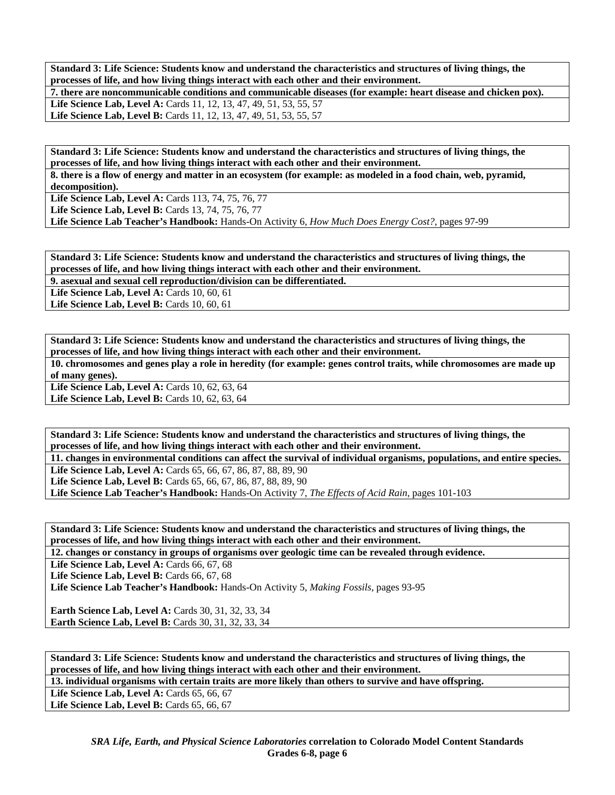**Standard 3: Life Science: Students know and understand the characteristics and structures of living things, the processes of life, and how living things interact with each other and their environment.** 

**7. there are noncommunicable conditions and communicable diseases (for example: heart disease and chicken pox).**  Life Science Lab, Level A: Cards 11, 12, 13, 47, 49, 51, 53, 55, 57

Life Science Lab, Level B: Cards 11, 12, 13, 47, 49, 51, 53, 55, 57

**Standard 3: Life Science: Students know and understand the characteristics and structures of living things, the processes of life, and how living things interact with each other and their environment.** 

**8. there is a flow of energy and matter in an ecosystem (for example: as modeled in a food chain, web, pyramid, decomposition).** 

**Life Science Lab, Level A:** Cards 113, 74, 75, 76, 77

**Life Science Lab, Level B:** Cards 13, 74, 75, 76, 77

**Life Science Lab Teacher's Handbook:** Hands-On Activity 6, *How Much Does Energy Cost?,* pages 97-99

**Standard 3: Life Science: Students know and understand the characteristics and structures of living things, the processes of life, and how living things interact with each other and their environment.** 

**9. asexual and sexual cell reproduction/division can be differentiated.** 

Life Science Lab, Level A: Cards 10, 60, 61

Life Science Lab, Level B: Cards 10, 60, 61

**Standard 3: Life Science: Students know and understand the characteristics and structures of living things, the processes of life, and how living things interact with each other and their environment.** 

**10. chromosomes and genes play a role in heredity (for example: genes control traits, while chromosomes are made up of many genes).** 

Life Science Lab, Level A: Cards 10, 62, 63, 64

Life Science Lab, Level B: Cards 10, 62, 63, 64

**Standard 3: Life Science: Students know and understand the characteristics and structures of living things, the processes of life, and how living things interact with each other and their environment.** 

**11. changes in environmental conditions can affect the survival of individual organisms, populations, and entire species.**  Life Science Lab, Level A: Cards 65, 66, 67, 86, 87, 88, 89, 90

**Life Science Lab, Level B:** Cards 65, 66, 67, 86, 87, 88, 89, 90

**Life Science Lab Teacher's Handbook:** Hands-On Activity 7, *The Effects of Acid Rain,* pages 101-103

**Standard 3: Life Science: Students know and understand the characteristics and structures of living things, the processes of life, and how living things interact with each other and their environment.** 

**12. changes or constancy in groups of organisms over geologic time can be revealed through evidence.** 

Life Science Lab, Level A: Cards 66, 67, 68

**Life Science Lab, Level B:** Cards 66, 67, 68

**Life Science Lab Teacher's Handbook:** Hands-On Activity 5, *Making Fossils,* pages 93-95

**Earth Science Lab, Level A: Cards 30, 31, 32, 33, 34 Earth Science Lab, Level B:** Cards 30, 31, 32, 33, 34

**Standard 3: Life Science: Students know and understand the characteristics and structures of living things, the processes of life, and how living things interact with each other and their environment.** 

**13. individual organisms with certain traits are more likely than others to survive and have offspring.** 

Life Science Lab, Level A: Cards 65, 66, 67

**Life Science Lab, Level B: Cards 65, 66, 67**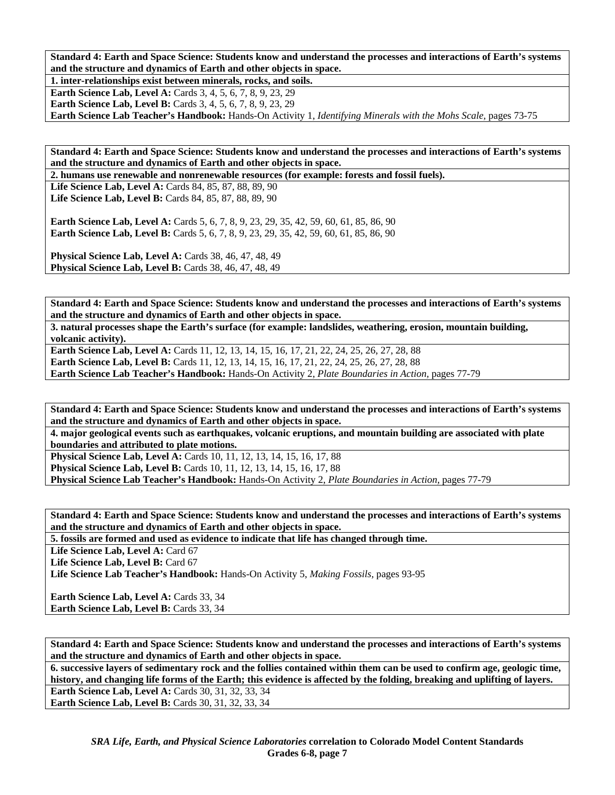**Standard 4: Earth and Space Science: Students know and understand the processes and interactions of Earth's systems and the structure and dynamics of Earth and other objects in space.** 

**1. inter-relationships exist between minerals, rocks, and soils. Earth Science Lab, Level A:** Cards 3, 4, 5, 6, 7, 8, 9, 23, 29 **Earth Science Lab, Level B:** Cards 3, 4, 5, 6, 7, 8, 9, 23, 29 **Earth Science Lab Teacher's Handbook:** Hands-On Activity 1, *Identifying Minerals with the Mohs Scale,* pages 73-75

**Standard 4: Earth and Space Science: Students know and understand the processes and interactions of Earth's systems and the structure and dynamics of Earth and other objects in space.** 

**2. humans use renewable and nonrenewable resources (for example: forests and fossil fuels).** 

Life Science Lab, Level A: Cards 84, 85, 87, 88, 89, 90 **Life Science Lab, Level B:** Cards 84, 85, 87, 88, 89, 90

**Earth Science Lab, Level A:** Cards 5, 6, 7, 8, 9, 23, 29, 35, 42, 59, 60, 61, 85, 86, 90 **Earth Science Lab, Level B:** Cards 5, 6, 7, 8, 9, 23, 29, 35, 42, 59, 60, 61, 85, 86, 90

**Physical Science Lab, Level A: Cards 38, 46, 47, 48, 49 Physical Science Lab, Level B:** Cards 38, 46, 47, 48, 49

**Standard 4: Earth and Space Science: Students know and understand the processes and interactions of Earth's systems and the structure and dynamics of Earth and other objects in space.** 

**3. natural processes shape the Earth's surface (for example: landslides, weathering, erosion, mountain building, volcanic activity).** 

**Earth Science Lab, Level A:** Cards 11, 12, 13, 14, 15, 16, 17, 21, 22, 24, 25, 26, 27, 28, 88

**Earth Science Lab, Level B:** Cards 11, 12, 13, 14, 15, 16, 17, 21, 22, 24, 25, 26, 27, 28, 88

**Earth Science Lab Teacher's Handbook:** Hands-On Activity 2, *Plate Boundaries in Action,* pages 77-79

**Standard 4: Earth and Space Science: Students know and understand the processes and interactions of Earth's systems and the structure and dynamics of Earth and other objects in space.** 

**4. major geological events such as earthquakes, volcanic eruptions, and mountain building are associated with plate boundaries and attributed to plate motions.** 

**Physical Science Lab, Level A: Cards 10, 11, 12, 13, 14, 15, 16, 17, 88 Physical Science Lab, Level B:** Cards 10, 11, 12, 13, 14, 15, 16, 17, 88 **Physical Science Lab Teacher's Handbook:** Hands-On Activity 2, *Plate Boundaries in Action,* pages 77-79

**Standard 4: Earth and Space Science: Students know and understand the processes and interactions of Earth's systems and the structure and dynamics of Earth and other objects in space.** 

**5. fossils are formed and used as evidence to indicate that life has changed through time.** 

Life Science Lab, Level A: Card 67

Life Science Lab, Level B: Card 67

**Life Science Lab Teacher's Handbook:** Hands-On Activity 5, *Making Fossils,* pages 93-95

Earth Science Lab, Level A: Cards 33, 34 Earth Science Lab, Level B: Cards 33, 34

**Standard 4: Earth and Space Science: Students know and understand the processes and interactions of Earth's systems and the structure and dynamics of Earth and other objects in space.** 

**6. successive layers of sedimentary rock and the follies contained within them can be used to confirm age, geologic time, history, and changing life forms of the Earth; this evidence is affected by the folding, breaking and uplifting of layers. Earth Science Lab, Level A: Cards 30, 31, 32, 33, 34 Earth Science Lab, Level B: Cards 30, 31, 32, 33, 34**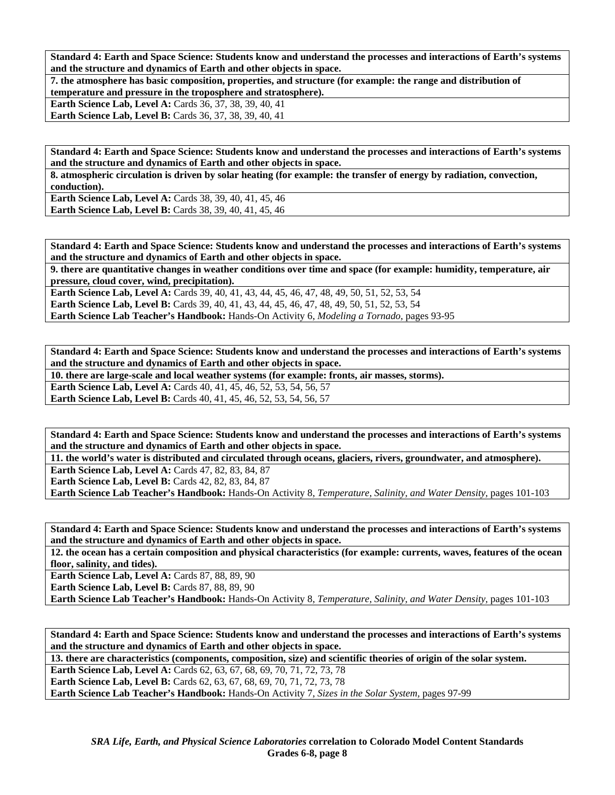**Standard 4: Earth and Space Science: Students know and understand the processes and interactions of Earth's systems and the structure and dynamics of Earth and other objects in space.** 

**7. the atmosphere has basic composition, properties, and structure (for example: the range and distribution of temperature and pressure in the troposphere and stratosphere).** 

**Earth Science Lab, Level A:** Cards 36, 37, 38, 39, 40, 41 **Earth Science Lab, Level B:** Cards 36, 37, 38, 39, 40, 41

**Standard 4: Earth and Space Science: Students know and understand the processes and interactions of Earth's systems and the structure and dynamics of Earth and other objects in space.** 

**8. atmospheric circulation is driven by solar heating (for example: the transfer of energy by radiation, convection, conduction).** 

**Earth Science Lab, Level A:** Cards 38, 39, 40, 41, 45, 46 **Earth Science Lab, Level B:** Cards 38, 39, 40, 41, 45, 46

**Standard 4: Earth and Space Science: Students know and understand the processes and interactions of Earth's systems and the structure and dynamics of Earth and other objects in space.** 

**9. there are quantitative changes in weather conditions over time and space (for example: humidity, temperature, air pressure, cloud cover, wind, precipitation).** 

**Earth Science Lab, Level A:** Cards 39, 40, 41, 43, 44, 45, 46, 47, 48, 49, 50, 51, 52, 53, 54

**Earth Science Lab, Level B:** Cards 39, 40, 41, 43, 44, 45, 46, 47, 48, 49, 50, 51, 52, 53, 54

**Earth Science Lab Teacher's Handbook:** Hands-On Activity 6, *Modeling a Tornado,* pages 93-95

**Standard 4: Earth and Space Science: Students know and understand the processes and interactions of Earth's systems and the structure and dynamics of Earth and other objects in space.** 

**10. there are large-scale and local weather systems (for example: fronts, air masses, storms).** 

**Earth Science Lab, Level A:** Cards 40, 41, 45, 46, 52, 53, 54, 56, 57

**Earth Science Lab, Level B:** Cards 40, 41, 45, 46, 52, 53, 54, 56, 57

**Standard 4: Earth and Space Science: Students know and understand the processes and interactions of Earth's systems and the structure and dynamics of Earth and other objects in space.** 

**11. the world's water is distributed and circulated through oceans, glaciers, rivers, groundwater, and atmosphere).** 

**Earth Science Lab, Level A: Cards 47, 82, 83, 84, 87** 

**Earth Science Lab, Level B: Cards 42, 82, 83, 84, 87** 

**Earth Science Lab Teacher's Handbook:** Hands-On Activity 8, *Temperature, Salinity, and Water Density,* pages 101-103

**Standard 4: Earth and Space Science: Students know and understand the processes and interactions of Earth's systems and the structure and dynamics of Earth and other objects in space.** 

**12. the ocean has a certain composition and physical characteristics (for example: currents, waves, features of the ocean floor, salinity, and tides).** 

**Earth Science Lab, Level A: Cards 87, 88, 89, 90** 

**Earth Science Lab, Level B: Cards 87, 88, 89, 90** 

**Earth Science Lab Teacher's Handbook:** Hands-On Activity 8, *Temperature, Salinity, and Water Density,* pages 101-103

**Standard 4: Earth and Space Science: Students know and understand the processes and interactions of Earth's systems and the structure and dynamics of Earth and other objects in space.** 

**13. there are characteristics (components, composition, size) and scientific theories of origin of the solar system.** 

**Earth Science Lab, Level A: Cards 62, 63, 67, 68, 69, 70, 71, 72, 73, 78** 

**Earth Science Lab, Level B:** Cards 62, 63, 67, 68, 69, 70, 71, 72, 73, 78

**Earth Science Lab Teacher's Handbook:** Hands-On Activity 7, *Sizes in the Solar System,* pages 97-99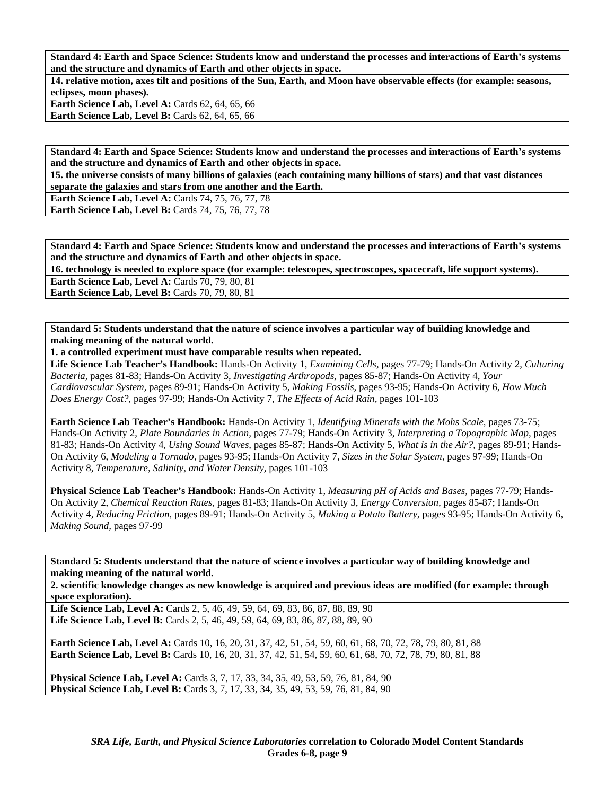**Standard 4: Earth and Space Science: Students know and understand the processes and interactions of Earth's systems and the structure and dynamics of Earth and other objects in space.** 

**14. relative motion, axes tilt and positions of the Sun, Earth, and Moon have observable effects (for example: seasons, eclipses, moon phases).** 

**Earth Science Lab, Level A:** Cards 62, 64, 65, 66 **Earth Science Lab, Level B: Cards 62, 64, 65, 66** 

**Standard 4: Earth and Space Science: Students know and understand the processes and interactions of Earth's systems and the structure and dynamics of Earth and other objects in space.** 

**15. the universe consists of many billions of galaxies (each containing many billions of stars) and that vast distances separate the galaxies and stars from one another and the Earth.** 

**Earth Science Lab, Level A: Cards 74, 75, 76, 77, 78 Earth Science Lab, Level B: Cards 74, 75, 76, 77, 78** 

**Standard 4: Earth and Space Science: Students know and understand the processes and interactions of Earth's systems and the structure and dynamics of Earth and other objects in space.** 

**16. technology is needed to explore space (for example: telescopes, spectroscopes, spacecraft, life support systems).** 

**Earth Science Lab, Level A: Cards 70, 79, 80, 81** 

**Earth Science Lab, Level B: Cards 70, 79, 80, 81** 

**Standard 5: Students understand that the nature of science involves a particular way of building knowledge and making meaning of the natural world.** 

**1. a controlled experiment must have comparable results when repeated.** 

**Life Science Lab Teacher's Handbook:** Hands-On Activity 1, *Examining Cells,* pages 77-79; Hands-On Activity 2, *Culturing Bacteria,* pages 81-83; Hands-On Activity 3, *Investigating Arthropods,* pages 85-87; Hands-On Activity 4, *Your Cardiovascular System,* pages 89-91; Hands-On Activity 5, *Making Fossils,* pages 93-95; Hands-On Activity 6, *How Much Does Energy Cost?,* pages 97-99; Hands-On Activity 7, *The Effects of Acid Rain,* pages 101-103

**Earth Science Lab Teacher's Handbook:** Hands-On Activity 1, *Identifying Minerals with the Mohs Scale,* pages 73-75; Hands-On Activity 2, *Plate Boundaries in Action,* pages 77-79; Hands-On Activity 3, *Interpreting a Topographic Map,* pages 81-83; Hands-On Activity 4, *Using Sound Waves,* pages 85-87; Hands-On Activity 5, *What is in the Air?,* pages 89-91; Hands-On Activity 6, *Modeling a Tornado,* pages 93-95; Hands-On Activity 7, *Sizes in the Solar System,* pages 97-99; Hands-On Activity 8, *Temperature, Salinity, and Water Density,* pages 101-103

**Physical Science Lab Teacher's Handbook:** Hands-On Activity 1, *Measuring pH of Acids and Bases,* pages 77-79; Hands-On Activity 2, *Chemical Reaction Rates,* pages 81-83; Hands-On Activity 3, *Energy Conversion,* pages 85-87; Hands-On Activity 4, *Reducing Friction,* pages 89-91; Hands-On Activity 5, *Making a Potato Battery,* pages 93-95; Hands-On Activity 6, *Making Sound,* pages 97-99

**Standard 5: Students understand that the nature of science involves a particular way of building knowledge and making meaning of the natural world.** 

**2. scientific knowledge changes as new knowledge is acquired and previous ideas are modified (for example: through space exploration).** 

Life Science Lab, Level A: Cards 2, 5, 46, 49, 59, 64, 69, 83, 86, 87, 88, 89, 90 **Life Science Lab, Level B:** Cards 2, 5, 46, 49, 59, 64, 69, 83, 86, 87, 88, 89, 90

**Earth Science Lab, Level A:** Cards 10, 16, 20, 31, 37, 42, 51, 54, 59, 60, 61, 68, 70, 72, 78, 79, 80, 81, 88 **Earth Science Lab, Level B:** Cards 10, 16, 20, 31, 37, 42, 51, 54, 59, 60, 61, 68, 70, 72, 78, 79, 80, 81, 88

**Physical Science Lab, Level A:** Cards 3, 7, 17, 33, 34, 35, 49, 53, 59, 76, 81, 84, 90 **Physical Science Lab, Level B:** Cards 3, 7, 17, 33, 34, 35, 49, 53, 59, 76, 81, 84, 90